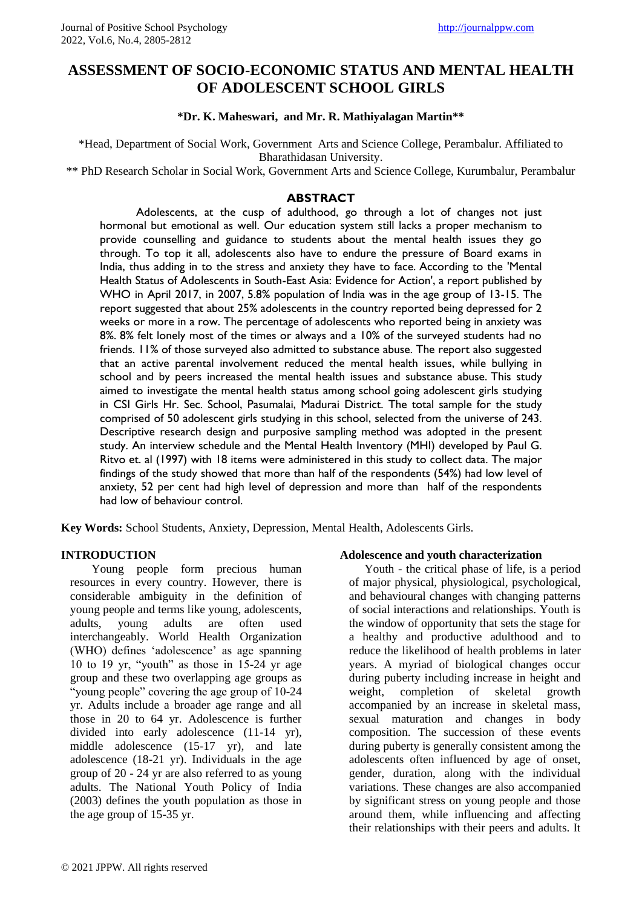# **ASSESSMENT OF SOCIO-ECONOMIC STATUS AND MENTAL HEALTH OF ADOLESCENT SCHOOL GIRLS**

## **\*Dr. K. Maheswari, and Mr. R. Mathiyalagan Martin\*\***

\*Head, Department of Social Work, Government Arts and Science College, Perambalur. Affiliated to Bharathidasan University.

\*\* PhD Research Scholar in Social Work, Government Arts and Science College, Kurumbalur, Perambalur

## **ABSTRACT**

 Adolescents, at the cusp of adulthood, go through a lot of changes not just hormonal but emotional as well. Our education system still lacks a proper mechanism to provide counselling and guidance to students about the mental health issues they go through. To top it all, adolescents also have to endure the pressure of Board exams in India, thus adding in to the stress and anxiety they have to face. According to the 'Mental Health Status of Adolescents in South-East Asia: Evidence for Action', a report published by WHO in April 2017, in 2007, 5.8% population of India was in the age group of 13-15. The report suggested that about 25% adolescents in the country reported being depressed for 2 weeks or more in a row. The percentage of adolescents who reported being in anxiety was 8%. 8% felt lonely most of the times or always and a 10% of the surveyed students had no friends. 11% of those surveyed also admitted to substance abuse. The report also suggested that an active parental involvement reduced the mental health issues, while bullying in school and by peers increased the mental health issues and substance abuse. This study aimed to investigate the mental health status among school going adolescent girls studying in CSI Girls Hr. Sec. School, Pasumalai, Madurai District. The total sample for the study comprised of 50 adolescent girls studying in this school, selected from the universe of 243. Descriptive research design and purposive sampling method was adopted in the present study. An interview schedule and the Mental Health Inventory (MHI) developed by Paul G. Ritvo et. al (1997) with 18 items were administered in this study to collect data. The major findings of the study showed that more than half of the respondents (54%) had low level of anxiety, 52 per cent had high level of depression and more than half of the respondents had low of behaviour control.

**Key Words:** School Students, Anxiety, Depression, Mental Health, Adolescents Girls.

## **INTRODUCTION**

 Young people form precious human resources in every country. However, there is considerable ambiguity in the definition of young people and terms like young, adolescents, adults, young adults are often used interchangeably. World Health Organization (WHO) defines 'adolescence' as age spanning 10 to 19 yr, "youth" as those in 15-24 yr age group and these two overlapping age groups as "young people" covering the age group of 10-24 yr. Adults include a broader age range and all those in 20 to 64 yr. Adolescence is further divided into early adolescence (11-14 yr), middle adolescence (15-17 yr), and late adolescence (18-21 yr). Individuals in the age group of 20 - 24 yr are also referred to as young adults. The National Youth Policy of India (2003) defines the youth population as those in the age group of 15-35 yr.

## **Adolescence and youth characterization**

 Youth - the critical phase of life, is a period of major physical, physiological, psychological, and behavioural changes with changing patterns of social interactions and relationships. Youth is the window of opportunity that sets the stage for a healthy and productive adulthood and to reduce the likelihood of health problems in later years. A myriad of biological changes occur during puberty including increase in height and weight, completion of skeletal growth accompanied by an increase in skeletal mass, sexual maturation and changes in body composition. The succession of these events during puberty is generally consistent among the adolescents often influenced by age of onset, gender, duration, along with the individual variations. These changes are also accompanied by significant stress on young people and those around them, while influencing and affecting their relationships with their peers and adults. It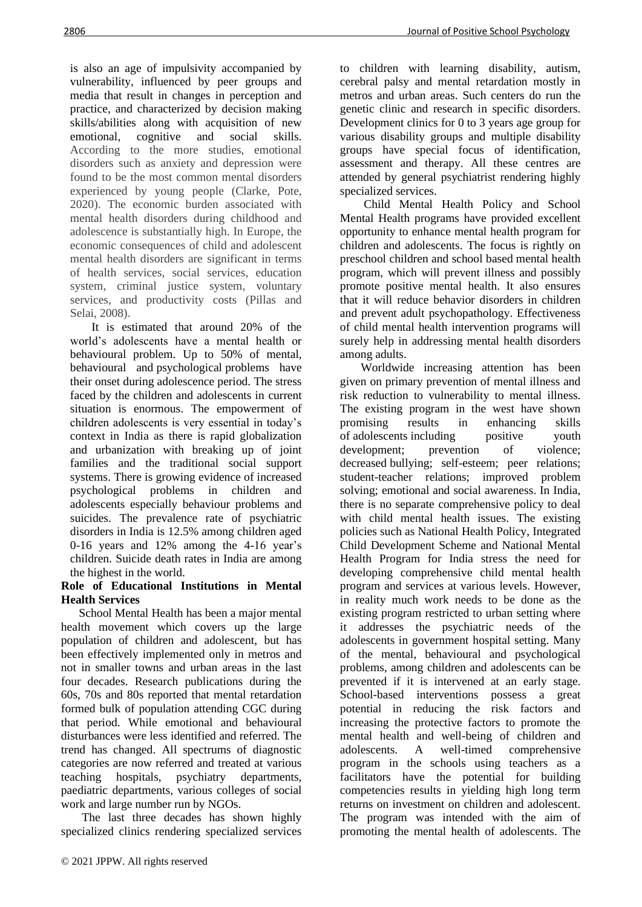is also an age of impulsivity accompanied by vulnerability, influenced by peer groups and media that result in changes in perception and practice, and characterized by decision making skills/abilities along with acquisition of new emotional, cognitive and social skills. According to the more studies, emotional disorders such as anxiety and depression were found to be the most common mental disorders experienced by young people (Clarke, Pote, 2020). The economic burden associated with mental health disorders during childhood and adolescence is substantially high. In Europe, the economic consequences of child and adolescent mental health disorders are significant in terms of health services, social services, education system, criminal justice system, voluntary services, and productivity costs (Pillas and Selai, 2008).

 It is estimated that around 20% of the world's adolescents have a mental health or behavioural problem. Up to 50% of mental, behavioural and [psychological](https://www.omicsonline.org/searchresult.php?keyword=psychological) problems have their onset during adolescence period. The stress faced by the children and adolescents in current situation is enormous. The empowerment of children adolescents is very essential in today's context in India as there is rapid globalization and urbanization with breaking up of joint families and the traditional social support systems. There is growing evidence of increased psychological problems in children and adolescents especially behaviour problems and suicides. The prevalence rate of psychiatric disorders in India is 12.5% among children aged 0-16 years and 12% among the 4-16 year's children. Suicide death rates in India are among the highest in the world.

## **Role of Educational Institutions in Mental Health Services**

 School Mental Health has been a major mental health movement which covers up the large population of children and adolescent, but has been effectively implemented only in metros and not in smaller towns and urban areas in the last four decades. Research publications during the 60s, 70s and 80s reported that mental retardation formed bulk of population attending CGC during that period. While emotional and behavioural disturbances were less identified and referred. The trend has changed. All spectrums of diagnostic categories are now referred and treated at various teaching hospitals, psychiatry departments, paediatric departments, various colleges of social work and large number run by NGOs.

 The last three decades has shown highly specialized clinics rendering specialized services to children with learning disability, autism, cerebral palsy and mental retardation mostly in metros and urban areas. Such centers do run the genetic clinic and research in specific disorders. Development clinics for 0 to 3 years age group for various disability groups and multiple disability groups have special focus of identification, assessment and therapy. All these centres are attended by general psychiatrist rendering highly specialized services.

 Child Mental Health Policy and School Mental Health programs have provided excellent opportunity to enhance mental health program for children and adolescents. The focus is rightly on preschool children and school based mental health program, which will prevent illness and possibly promote positive mental health. It also ensures that it will reduce behavior disorders in children and prevent adult psychopathology. Effectiveness of child mental health intervention programs will surely help in addressing mental health disorders among adults.

 Worldwide increasing attention has been given on primary prevention of mental illness and risk reduction to vulnerability to mental illness. The existing program in the west have shown promising results in enhancing skills of [adolescents](https://www.omicsonline.org/open-access/promotion-of-mental-health-and-wellbeing-of-adolescents-in-schools--animhans-model-2378-5756-1000303.php?aid=59655) including positive youth development; prevention of violence; decreased [bullying;](https://www.omicsonline.org/open-access/transforming-conflict-and-bullying-in-schools-through-mythodrama-2378-5756-1000363.php?aid=72178) self-esteem; peer relations; student-teacher relations; improved problem solving; emotional and social awareness. In India, there is no separate comprehensive policy to deal with child mental health issues. The existing policies such as National Health Policy, Integrated Child Development Scheme and National Mental Health Program for India stress the need for developing comprehensive child mental health program and services at various levels. However, in reality much work needs to be done as the existing program restricted to urban setting where it addresses the psychiatric needs of the adolescents in government hospital setting. Many of the mental, behavioural and psychological problems, among children and adolescents can be prevented if it is intervened at an early stage. School-based interventions possess a great potential in reducing the risk factors and increasing the protective factors to promote the mental health and well-being of children and adolescents. A well-timed comprehensive program in the schools using teachers as a facilitators have the potential for building competencies results in yielding high long term returns on investment on children and adolescent. The program was intended with the aim of promoting the mental health of adolescents. The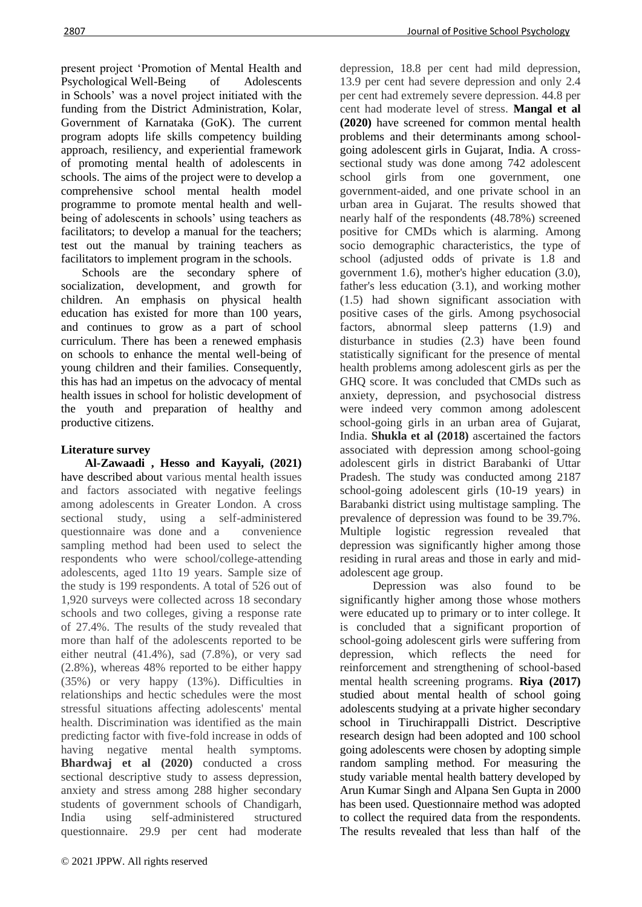present project 'Promotion of Mental Health and Psychological [Well-Being](https://www.omicsonline.org/searchresult.php?keyword=Well-Being) of Adolescents in [Schools'](https://www.omicsonline.org/searchresult.php?keyword=Schools) was a novel project initiated with the funding from the District Administration, Kolar, Government of Karnataka (GoK). The current program adopts life skills competency building approach, resiliency, and experiential framework of promoting mental health of adolescents in schools. The aims of the project were to develop a comprehensive school mental health model programme to promote mental health and wellbeing of adolescents in schools' using teachers as facilitators; to develop a manual for the teachers; test out the manual by training teachers as facilitators to implement program in the schools.

 Schools are the secondary sphere of socialization, development, and growth for children. An emphasis on physical health education has existed for more than 100 years, and continues to grow as a part of school curriculum. There has been a renewed emphasis on schools to enhance the mental well-being of young children and their families. Consequently, this has had an impetus on the advocacy of mental health issues in school for holistic development of the youth and preparation of healthy and productive citizens.

## **Literature survey**

 **Al-Zawaadi , Hesso and Kayyali, (2021)** have described about various mental health issues and factors associated with negative feelings among adolescents in Greater London. A cross sectional study, using a self-administered questionnaire was done and a convenience sampling method had been used to select the respondents who were school/college-attending adolescents, aged 11to 19 years. Sample size of the study is 199 respondents. A total of 526 out of 1,920 surveys were collected across 18 secondary schools and two colleges, giving a response rate of 27.4%. The results of the study revealed that more than half of the adolescents reported to be either neutral (41.4%), sad (7.8%), or very sad (2.8%), whereas 48% reported to be either happy (35%) or very happy (13%). Difficulties in relationships and hectic schedules were the most stressful situations affecting adolescents' mental health. Discrimination was identified as the main predicting factor with five-fold increase in odds of having negative mental health symptoms. **Bhardwaj et al (2020)** conducted a cross sectional descriptive study to assess depression, anxiety and stress among 288 higher secondary students of government schools of Chandigarh, India using self-administered structured questionnaire. 29.9 per cent had moderate

depression, 18.8 per cent had mild depression, 13.9 per cent had severe depression and only 2.4 per cent had extremely severe depression. 44.8 per cent had moderate level of stress. **Mangal et al (2020)** have screened for common mental health problems and their determinants among schoolgoing adolescent girls in Gujarat, India. A crosssectional study was done among 742 adolescent school girls from one government, one government-aided, and one private school in an urban area in Gujarat. The results showed that nearly half of the respondents (48.78%) screened positive for CMDs which is alarming. Among socio demographic characteristics, the type of school (adjusted odds of private is 1.8 and government 1.6), mother's higher education (3.0), father's less education (3.1), and working mother (1.5) had shown significant association with positive cases of the girls. Among psychosocial factors, abnormal sleep patterns (1.9) and disturbance in studies (2.3) have been found statistically significant for the presence of mental health problems among adolescent girls as per the GHQ score. It was concluded that CMDs such as anxiety, depression, and psychosocial distress were indeed very common among adolescent school-going girls in an urban area of Gujarat, India. **Shukla et al (2018)** ascertained the factors associated with depression among school-going adolescent girls in district Barabanki of Uttar Pradesh. The study was conducted among 2187 school-going adolescent girls (10-19 years) in Barabanki district using multistage sampling. The prevalence of depression was found to be 39.7%. Multiple logistic regression revealed that depression was significantly higher among those residing in rural areas and those in early and midadolescent age group.

 Depression was also found to be significantly higher among those whose mothers were educated up to primary or to inter college. It is concluded that a significant proportion of school-going adolescent girls were suffering from depression, which reflects the need for reinforcement and strengthening of school-based mental health screening programs. **Riya (2017)** studied about mental health of school going adolescents studying at a private higher secondary school in Tiruchirappalli District. Descriptive research design had been adopted and 100 school going adolescents were chosen by adopting simple random sampling method. For measuring the study variable mental health battery developed by Arun Kumar Singh and Alpana Sen Gupta in 2000 has been used. Questionnaire method was adopted to collect the required data from the respondents. The results revealed that less than half of the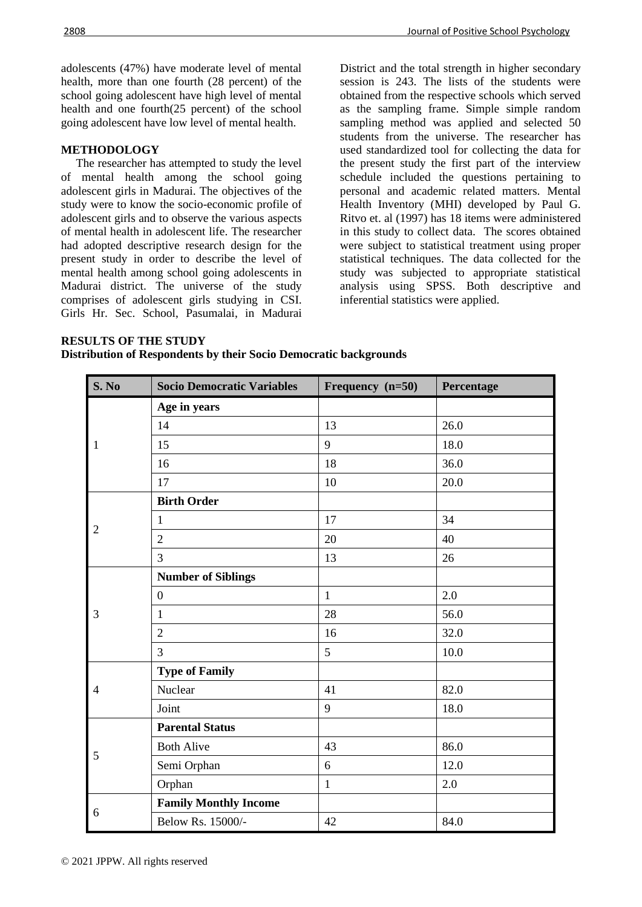adolescents (47%) have moderate level of mental health, more than one fourth (28 percent) of the school going adolescent have high level of mental health and one fourth(25 percent) of the school going adolescent have low level of mental health.

## **METHODOLOGY**

 The researcher has attempted to study the level of mental health among the school going adolescent girls in Madurai. The objectives of the study were to know the socio-economic profile of adolescent girls and to observe the various aspects of mental health in adolescent life. The researcher had adopted descriptive research design for the present study in order to describe the level of mental health among school going adolescents in Madurai district. The universe of the study comprises of adolescent girls studying in CSI. Girls Hr. Sec. School, Pasumalai, in Madurai

District and the total strength in higher secondary session is 243. The lists of the students were obtained from the respective schools which served as the sampling frame. Simple simple random sampling method was applied and selected 50 students from the universe. The researcher has used standardized tool for collecting the data for the present study the first part of the interview schedule included the questions pertaining to personal and academic related matters. Mental Health Inventory (MHI) developed by Paul G. Ritvo et. al (1997) has 18 items were administered in this study to collect data. The scores obtained were subject to statistical treatment using proper statistical techniques. The data collected for the study was subjected to appropriate statistical analysis using SPSS. Both descriptive and inferential statistics were applied.

## **RESULTS OF THE STUDY**

**Distribution of Respondents by their Socio Democratic backgrounds**

| S. No          | <b>Socio Democratic Variables</b> | Frequency (n=50) | Percentage |
|----------------|-----------------------------------|------------------|------------|
|                | Age in years                      |                  |            |
|                | 14                                | 13               | 26.0       |
| 1              | 15                                | 9                | 18.0       |
|                | 16                                | 18               | 36.0       |
|                | 17                                | 10               | 20.0       |
|                | <b>Birth Order</b>                |                  |            |
|                | $\mathbf{1}$                      | 17               | 34         |
| $\overline{2}$ | $\mathfrak{2}$                    | 20               | 40         |
|                | $\overline{3}$                    | 13               | 26         |
|                | <b>Number of Siblings</b>         |                  |            |
|                | $\overline{0}$                    | $\mathbf{1}$     | 2.0        |
| 3              | $\mathbf{1}$                      | 28               | 56.0       |
|                | $\overline{2}$                    | 16               | 32.0       |
|                | 3                                 | 5                | 10.0       |
|                | <b>Type of Family</b>             |                  |            |
| 4              | Nuclear                           | 41               | 82.0       |
|                | Joint                             | 9                | 18.0       |
|                | <b>Parental Status</b>            |                  |            |
|                | <b>Both Alive</b>                 | 43               | 86.0       |
| 5              | Semi Orphan                       | $\sqrt{6}$       | 12.0       |
|                | Orphan                            | $\mathbf{1}$     | 2.0        |
|                | <b>Family Monthly Income</b>      |                  |            |
| 6              | Below Rs. 15000/-                 | 42               | 84.0       |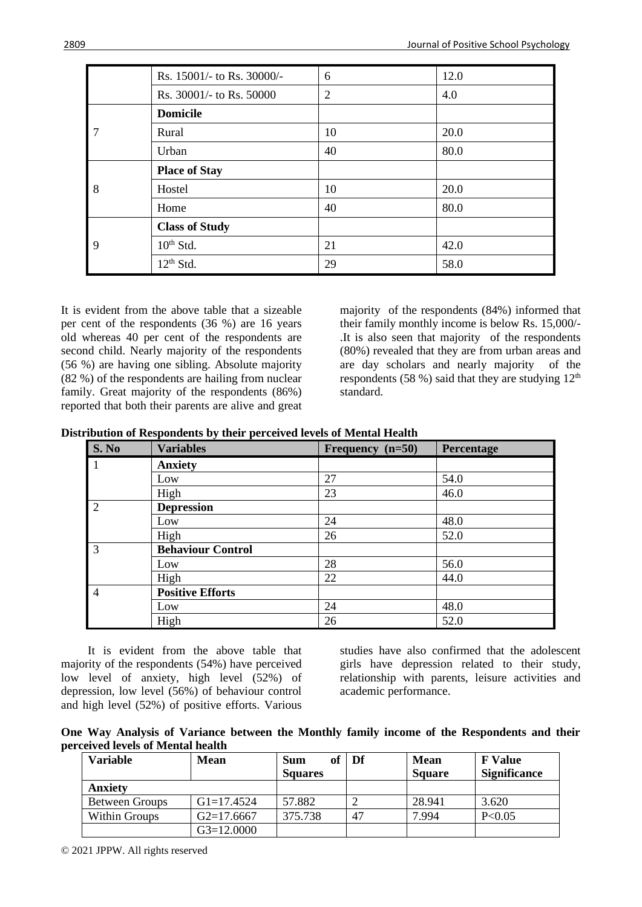|   | Rs. 15001/- to Rs. 30000/- | 6              | 12.0 |
|---|----------------------------|----------------|------|
|   | Rs. 30001/- to Rs. 50000   | $\overline{2}$ | 4.0  |
|   | <b>Domicile</b>            |                |      |
| 7 | Rural                      | 10             | 20.0 |
|   | Urban                      | 40             | 80.0 |
|   | <b>Place of Stay</b>       |                |      |
| 8 | Hostel                     | 10             | 20.0 |
|   | Home                       | 40             | 80.0 |
|   | <b>Class of Study</b>      |                |      |
| 9 | $10th$ Std.                | 21             | 42.0 |
|   | $12th$ Std.                | 29             | 58.0 |

It is evident from the above table that a sizeable per cent of the respondents (36 %) are 16 years old whereas 40 per cent of the respondents are second child. Nearly majority of the respondents (56 %) are having one sibling. Absolute majority (82 %) of the respondents are hailing from nuclear family. Great majority of the respondents (86%) reported that both their parents are alive and great

majority of the respondents (84%) informed that their family monthly income is below Rs. 15,000/- .It is also seen that majority of the respondents (80%) revealed that they are from urban areas and are day scholars and nearly majority of the respondents (58 %) said that they are studying  $12<sup>th</sup>$ standard.

**Distribution of Respondents by their perceived levels of Mental Health**

| S. No          | <b>Variables</b>         | Frequency (n=50) | Percentage |
|----------------|--------------------------|------------------|------------|
|                | <b>Anxiety</b>           |                  |            |
|                | Low                      | 27               | 54.0       |
|                | High                     | 23               | 46.0       |
| $\overline{2}$ | <b>Depression</b>        |                  |            |
|                | Low                      | 24               | 48.0       |
|                | High                     | 26               | 52.0       |
| 3              | <b>Behaviour Control</b> |                  |            |
|                | Low                      | 28               | 56.0       |
|                | High                     | 22               | 44.0       |
| $\overline{4}$ | <b>Positive Efforts</b>  |                  |            |
|                | Low                      | 24               | 48.0       |
|                | High                     | 26               | 52.0       |

 It is evident from the above table that majority of the respondents (54%) have perceived low level of anxiety, high level (52%) of depression, low level (56%) of behaviour control and high level (52%) of positive efforts. Various

studies have also confirmed that the adolescent girls have depression related to their study, relationship with parents, leisure activities and academic performance.

**One Way Analysis of Variance between the Monthly family income of the Respondents and their perceived levels of Mental health**

| <b>Variable</b>       | <b>Mean</b>  | of<br><b>Sum</b><br><b>Squares</b> | Df | <b>Mean</b><br><b>Square</b> | <b>F</b> Value<br><b>Significance</b> |
|-----------------------|--------------|------------------------------------|----|------------------------------|---------------------------------------|
| <b>Anxiety</b>        |              |                                    |    |                              |                                       |
| <b>Between Groups</b> | $G1=17.4524$ | 57.882                             |    | 28.941                       | 3.620                                 |
| Within Groups         | $G2=17.6667$ | 375.738                            | 47 | 7.994                        | P<0.05                                |
|                       | $G3=12.0000$ |                                    |    |                              |                                       |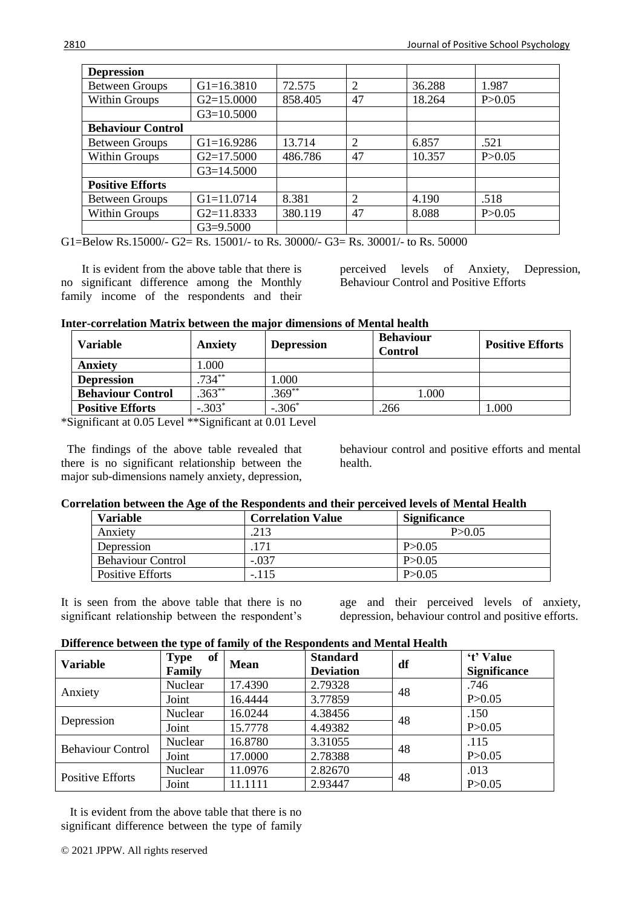| <b>Depression</b>        |                |         |                |        |          |
|--------------------------|----------------|---------|----------------|--------|----------|
| <b>Between Groups</b>    | $G1 = 16.3810$ | 72.575  | $\overline{2}$ | 36.288 | 1.987    |
| Within Groups            | $G2=15.0000$   | 858.405 | 47             | 18.264 | P > 0.05 |
|                          | $G3=10.5000$   |         |                |        |          |
| <b>Behaviour Control</b> |                |         |                |        |          |
| <b>Between Groups</b>    | $G1=16.9286$   | 13.714  | 2              | 6.857  | .521     |
| <b>Within Groups</b>     | $G2=17.5000$   | 486.786 | 47             | 10.357 | P > 0.05 |
|                          | $G3=14.5000$   |         |                |        |          |
| <b>Positive Efforts</b>  |                |         |                |        |          |
| <b>Between Groups</b>    | $G1 = 11.0714$ | 8.381   | 2              | 4.190  | .518     |
| <b>Within Groups</b>     | $G2=11.8333$   | 380.119 | 47             | 8.088  | P > 0.05 |
|                          | $G3=9.5000$    |         |                |        |          |

G1=Below Rs.15000/- G2= Rs. 15001/- to Rs. 30000/- G3= Rs. 30001/- to Rs. 50000

 It is evident from the above table that there is no significant difference among the Monthly family income of the respondents and their perceived levels of Anxiety, Depression, Behaviour Control and Positive Efforts

**Inter-correlation Matrix between the major dimensions of Mental health**

| Variable                 | <b>Anxiety</b> | <b>Depression</b> | <b>Behaviour</b><br><b>Control</b> | <b>Positive Efforts</b> |
|--------------------------|----------------|-------------------|------------------------------------|-------------------------|
| <b>Anxiety</b>           | .000           |                   |                                    |                         |
| <b>Depression</b>        | $.734***$      | .000              |                                    |                         |
| <b>Behaviour Control</b> | $.363**$       | $369***$          | 1.000                              |                         |
| <b>Positive Efforts</b>  | $-.303*$       | $.306*$           | 266                                | 000                     |

\*Significant at 0.05 Level \*\*Significant at 0.01 Level

 The findings of the above table revealed that there is no significant relationship between the major sub-dimensions namely anxiety, depression, behaviour control and positive efforts and mental health.

## **Correlation between the Age of the Respondents and their perceived levels of Mental Health**

| <b>Variable</b>          | <b>Correlation Value</b> | <b>Significance</b> |
|--------------------------|--------------------------|---------------------|
| Anxiety                  | .213                     | P > 0.05            |
| Depression               | 171                      | P > 0.05            |
| <b>Behaviour Control</b> | $-.037$                  | P > 0.05            |
| Positive Efforts         | $-.115$                  | P > 0.05            |

It is seen from the above table that there is no significant relationship between the respondent's age and their perceived levels of anxiety, depression, behaviour control and positive efforts.

| <b>Variable</b>          | of<br><b>Type</b><br>Family | <b>Mean</b> | <b>Standard</b><br><b>Deviation</b> | df | 't' Value<br><b>Significance</b> |
|--------------------------|-----------------------------|-------------|-------------------------------------|----|----------------------------------|
|                          | Nuclear                     | 17.4390     | 2.79328                             | 48 | .746                             |
| Anxiety                  | Joint                       | 16.4444     | 3.77859                             |    | P > 0.05                         |
|                          | Nuclear                     | 16.0244     | 4.38456                             | 48 | .150                             |
| Depression               | Joint                       | 15.7778     | 4.49382                             |    | P > 0.05                         |
| <b>Behaviour Control</b> | Nuclear                     | 16.8780     | 3.31055                             | 48 | .115                             |
|                          | Joint                       | 17.0000     | 2.78388                             |    | P > 0.05                         |
| <b>Positive Efforts</b>  | Nuclear                     | 11.0976     | 2.82670                             | 48 | .013                             |
|                          | Joint                       | 11.1111     | 2.93447                             |    | P > 0.05                         |

 It is evident from the above table that there is no significant difference between the type of family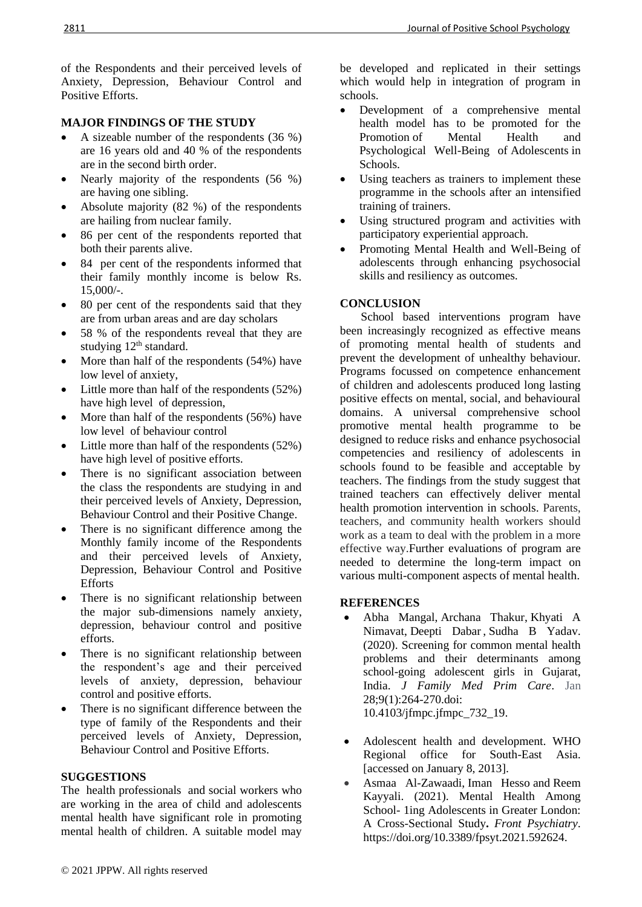of the Respondents and their perceived levels of Anxiety, Depression, Behaviour Control and Positive Efforts.

## **MAJOR FINDINGS OF THE STUDY**

- A sizeable number of the respondents (36 %) are 16 years old and 40 % of the respondents are in the second birth order.
- Nearly majority of the respondents (56 %) are having one sibling.
- Absolute majority (82 %) of the respondents are hailing from nuclear family.
- 86 per cent of the respondents reported that both their parents alive.
- 84 per cent of the respondents informed that their family monthly income is below Rs.  $15,000/-$ .
- 80 per cent of the respondents said that they are from urban areas and are day scholars
- 58 % of the respondents reveal that they are studying 12<sup>th</sup> standard.
- More than half of the respondents (54%) have low level of anxiety,
- Little more than half of the respondents (52%) have high level of depression,
- More than half of the respondents (56%) have low level of behaviour control
- Little more than half of the respondents (52%) have high level of positive efforts.
- There is no significant association between the class the respondents are studying in and their perceived levels of Anxiety, Depression, Behaviour Control and their Positive Change.
- There is no significant difference among the Monthly family income of the Respondents and their perceived levels of Anxiety, Depression, Behaviour Control and Positive Efforts
- There is no significant relationship between the major sub-dimensions namely anxiety, depression, behaviour control and positive efforts.
- There is no significant relationship between the respondent's age and their perceived levels of anxiety, depression, behaviour control and positive efforts.
- There is no significant difference between the type of family of the Respondents and their perceived levels of Anxiety, Depression, Behaviour Control and Positive Efforts.

## **SUGGESTIONS**

The health professionals and social workers who are working in the area of child and adolescents mental health have significant role in promoting mental health of children. A suitable model may

be developed and replicated in their settings which would help in integration of program in schools.

- Development of a comprehensive mental health model has to be promoted for the [Promotion](https://www.omicsonline.org/searchresult.php?keyword=Promotion) of Mental Health and Psychological Well-Being of [Adolescents](https://www.omicsonline.org/searchresult.php?keyword=Adolescents) in Schools.
- Using teachers as trainers to implement these programme in the schools after an intensified training of trainers.
- Using structured program and activities with participatory experiential approach.
- Promoting Mental Health and Well-Being of adolescents through enhancing psychosocial skills and resiliency as outcomes.

## **CONCLUSION**

 School based interventions program have been increasingly recognized as effective means of promoting mental health of students and prevent the development of unhealthy behaviour. Programs focussed on competence enhancement of children and adolescents produced long lasting positive effects on mental, social, and behavioural domains. A universal comprehensive school promotive mental health programme to be designed to reduce risks and enhance psychosocial competencies and resiliency of adolescents in schools found to be feasible and acceptable by teachers. The findings from the study suggest that trained teachers can effectively deliver mental health promotion intervention in schools. Parents, teachers, and community health workers should work as a team to deal with the problem in a more effective way.Further evaluations of program are needed to determine the long-term impact on various multi-component aspects of mental health.

#### **REFERENCES**

- [Abha Mangal,](https://pubmed.ncbi.nlm.nih.gov/?term=Mangal+A&cauthor_id=32110602) [Archana Thakur,](https://pubmed.ncbi.nlm.nih.gov/?term=Thakur+A&cauthor_id=32110602) [Khyati A](https://pubmed.ncbi.nlm.nih.gov/?term=Nimavat+KA&cauthor_id=32110602)  [Nimavat,](https://pubmed.ncbi.nlm.nih.gov/?term=Nimavat+KA&cauthor_id=32110602) [Deepti Dabar](https://pubmed.ncbi.nlm.nih.gov/?term=Dabar+D&cauthor_id=32110602) , [Sudha B Yadav.](https://pubmed.ncbi.nlm.nih.gov/?term=Yadav+SB&cauthor_id=32110602) (2020). Screening for common mental health problems and their determinants among school-going adolescent girls in Gujarat, India. *J Family Med Prim Care*. Jan 28;9(1):264-270.doi: 10.4103/jfmpc.jfmpc\_732\_19.
- Adolescent health and development. WHO Regional office for South-East Asia. [accessed on January 8, 2013].
- Asmaa Al-Zawaadi, [Iman Hesso](https://www.frontiersin.org/people/u/1049146) and Reem Kayyali. (2021). Mental Health Among School- 1ing Adolescents in Greater London: A Cross-Sectional Study**.** *Front Psychiatry*. [https://doi.org/10.3389/fpsyt.2021.592624.](https://doi.org/10.3389/fpsyt.2021.592624)